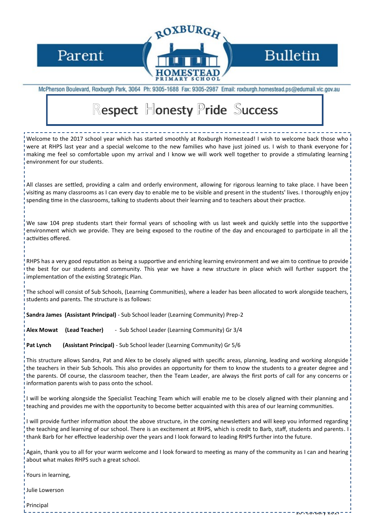Parent



## **Bulletin**

10 February 2017

McPherson Boulevard, Roxburgh Park, 3064 Ph: 9305-1688 Fax: 9305-2987 Email: roxburgh.homestead.ps@edumail.vic.gov.au

## Respect Honesty Pride Success

Welcome to the 2017 school year which has started smoothly at Roxburgh Homestead! I wish to welcome back those who were at RHPS last year and a special welcome to the new families who have just joined us. I wish to thank everyone for making me feel so comfortable upon my arrival and I know we will work well together to provide a stimulating learning environment for our students.

All classes are settled, providing a calm and orderly environment, allowing for rigorous learning to take place. I have been visiting as many classrooms as I can every day to enable me to be visible and present in the students' lives. I thoroughly enjoy spending time in the classrooms, talking to students about their learning and to teachers about their practice.

We saw 104 prep students start their formal years of schooling with us last week and quickly settle into the supportive environment which we provide. They are being exposed to the routine of the day and encouraged to participate in all the activities offered.

RHPS has a very good reputation as being a supportive and enriching learning environment and we aim to continue to provide the best for our students and community. This year we have a new structure in place which will further support the implementation of the existing Strategic Plan.

The school will consist of Sub Schools, (Learning Communities), where a leader has been allocated to work alongside teachers, students and parents. The structure is as follows:

**Sandra James (Assistant Principal)** - Sub School leader (Learning Community) Prep-2

**Alex Mowat (Lead Teacher)** - Sub School Leader (Learning Community) Gr 3/4

**Pat Lynch (Assistant Principal)** - Sub School leader (Learning Community) Gr 5/6

This structure allows Sandra, Pat and Alex to be closely aligned with specific areas, planning, leading and working alongside the teachers in their Sub Schools. This also provides an opportunity for them to know the students to a greater degree and the parents. Of course, the classroom teacher, then the Team Leader, are always the first ports of call for any concerns or information parents wish to pass onto the school.

I will be working alongside the Specialist Teaching Team which will enable me to be closely aligned with their planning and teaching and provides me with the opportunity to become better acquainted with this area of our learning communities.

I will provide further information about the above structure, in the coming newsletters and will keep you informed regarding the teaching and learning of our school. There is an excitement at RHPS, which is credit to Barb, staff, students and parents. I thank Barb for her effective leadership over the years and I look forward to leading RHPS further into the future.

Again, thank you to all for your warm welcome and I look forward to meeting as many of the community as I can and hearing about what makes RHPS such a great school.

Yours in learning,

Julie Lowerson

Principal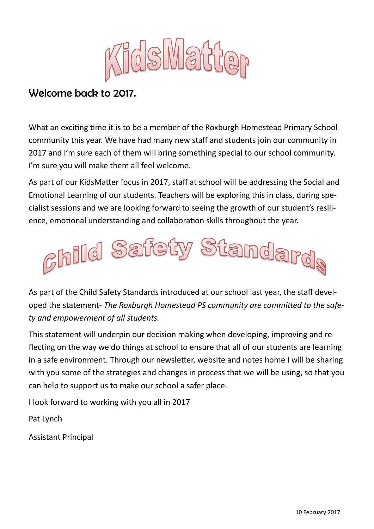

## Welcome back to 2017.

What an exciting time it is to be a member of the Roxburgh Homestead Primary School community this year. We have had many new staff and students join our community in 2017 and I'm sure each of them will bring something special to our school community. I'm sure you will make them all feel welcome.

As part of our KidsMatter focus in 2017, staff at school will be addressing the Social and Emotional Learning of our students. Teachers will be exploring this in class, during specialist sessions and we are looking forward to seeing the growth of our student's resilience, emotional understanding and collaboration skills throughout the year.



As part of the Child Safety Standards introduced at our school last year, the staff developed the statement- *The Roxburgh Homestead PS community are committed to the safety and empowerment of all students.*

This statement will underpin our decision making when developing, improving and reflecting on the way we do things at school to ensure that all of our students are learning in a safe environment. Through our newsletter, website and notes home I will be sharing with you some of the strategies and changes in process that we will be using, so that you can help to support us to make our school a safer place.

I look forward to working with you all in 2017

Pat Lynch

Assistant Principal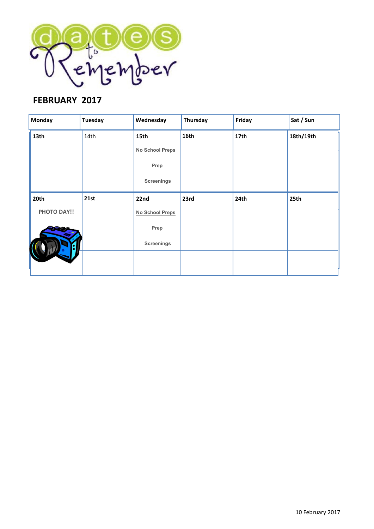

### **FEBRUARY 2017**

| <b>Monday</b>      | <b>Tuesday</b> | Wednesday              | Thursday | Friday           | Sat / Sun |
|--------------------|----------------|------------------------|----------|------------------|-----------|
| 13 <sub>th</sub>   | 14th           | 15th                   | 16th     | 17 <sub>th</sub> | 18th/19th |
|                    |                | <b>No School Preps</b> |          |                  |           |
|                    |                | Prep                   |          |                  |           |
|                    |                | <b>Screenings</b>      |          |                  |           |
| 20th               | 21st           | 22nd                   | 23rd     | 24th             | 25th      |
| <b>PHOTO DAY!!</b> |                | <b>No School Preps</b> |          |                  |           |
|                    |                | Prep                   |          |                  |           |
|                    |                | <b>Screenings</b>      |          |                  |           |
|                    |                |                        |          |                  |           |
|                    |                |                        |          |                  |           |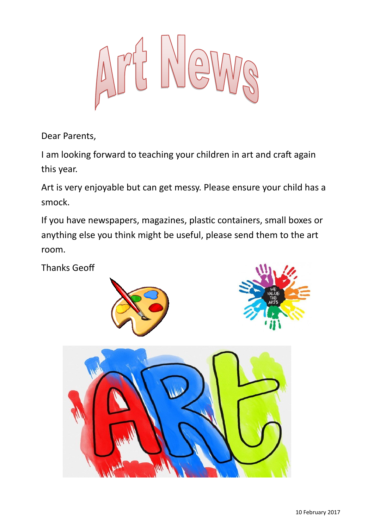Dear Parents,

I am looking forward to teaching your children in art and craft again this year.

Art is very enjoyable but can get messy. Please ensure your child has a smock.

If you have newspapers, magazines, plastic containers, small boxes or anything else you think might be useful, please send them to the art room.

Thanks Geoff





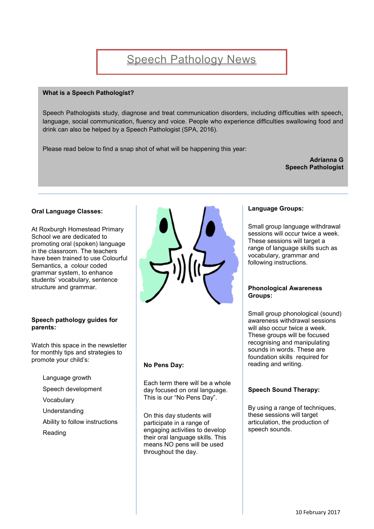#### **What is a Speech Pathologist?**

Speech Pathologists study, diagnose and treat communication disorders, including difficulties with speech, language, social communication, fluency and voice. People who experience difficulties swallowing food and drink can also be helped by a Speech Pathologist (SPA, 2016).

Please read below to find a snap shot of what will be happening this year:

**Adrianna G Speech Pathologist**

#### **Oral Language Classes:**

At Roxburgh Homestead Primary School we are dedicated to promoting oral (spoken) language in the classroom. The teachers have been trained to use Colourful Semantics, a colour coded grammar system, to enhance students' vocabulary, sentence structure and grammar.

#### **Speech pathology guides for parents:**

Watch this space in the newsletter for monthly tips and strategies to promote your child's:

- Language growth
- Speech development
- Vocabulary
- Understanding
- Ability to follow instructions
- Reading



#### **No Pens Day:**

Each term there will be a whole day focused on oral language. This is our "No Pens Day".

On this day students will participate in a range of engaging activities to develop their oral language skills. This means NO pens will be used throughout the day.

#### **Language Groups:**

Small group language withdrawal sessions will occur twice a week. These sessions will target a range of language skills such as vocabulary, grammar and following instructions.

#### **Phonological Awareness Groups:**

Small group phonological (sound) awareness withdrawal sessions will also occur twice a week. These groups will be focused recognising and manipulating sounds in words. These are foundation skills required for reading and writing.

#### **Speech Sound Therapy:**

By using a range of techniques, these sessions will target articulation, the production of speech sounds.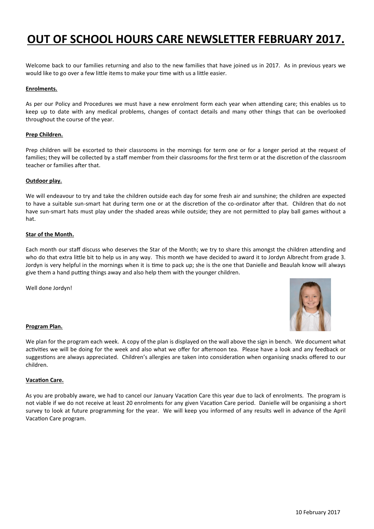## **OUT OF SCHOOL HOURS CARE NEWSLETTER FEBRUARY 2017.**

Welcome back to our families returning and also to the new families that have joined us in 2017. As in previous years we would like to go over a few little items to make your time with us a little easier.

#### **Enrolments.**

As per our Policy and Procedures we must have a new enrolment form each year when attending care; this enables us to keep up to date with any medical problems, changes of contact details and many other things that can be overlooked throughout the course of the year.

#### **Prep Children.**

Prep children will be escorted to their classrooms in the mornings for term one or for a longer period at the request of families; they will be collected by a staff member from their classrooms for the first term or at the discretion of the classroom teacher or families after that.

#### **Outdoor play.**

We will endeavour to try and take the children outside each day for some fresh air and sunshine; the children are expected to have a suitable sun-smart hat during term one or at the discretion of the co-ordinator after that. Children that do not have sun-smart hats must play under the shaded areas while outside; they are not permitted to play ball games without a hat.

#### **Star of the Month.**

Each month our staff discuss who deserves the Star of the Month; we try to share this amongst the children attending and who do that extra little bit to help us in any way. This month we have decided to award it to Jordyn Albrecht from grade 3. Jordyn is very helpful in the mornings when it is time to pack up; she is the one that Danielle and Beaulah know will always give them a hand putting things away and also help them with the younger children.

Well done Jordyn!



#### **Program Plan.**

We plan for the program each week. A copy of the plan is displayed on the wall above the sign in bench. We document what activities we will be doing for the week and also what we offer for afternoon tea. Please have a look and any feedback or suggestions are always appreciated. Children's allergies are taken into consideration when organising snacks offered to our children.

#### **Vacation Care.**

As you are probably aware, we had to cancel our January Vacation Care this year due to lack of enrolments. The program is not viable if we do not receive at least 20 enrolments for any given Vacation Care period. Danielle will be organising a short survey to look at future programming for the year. We will keep you informed of any results well in advance of the April Vacation Care program.